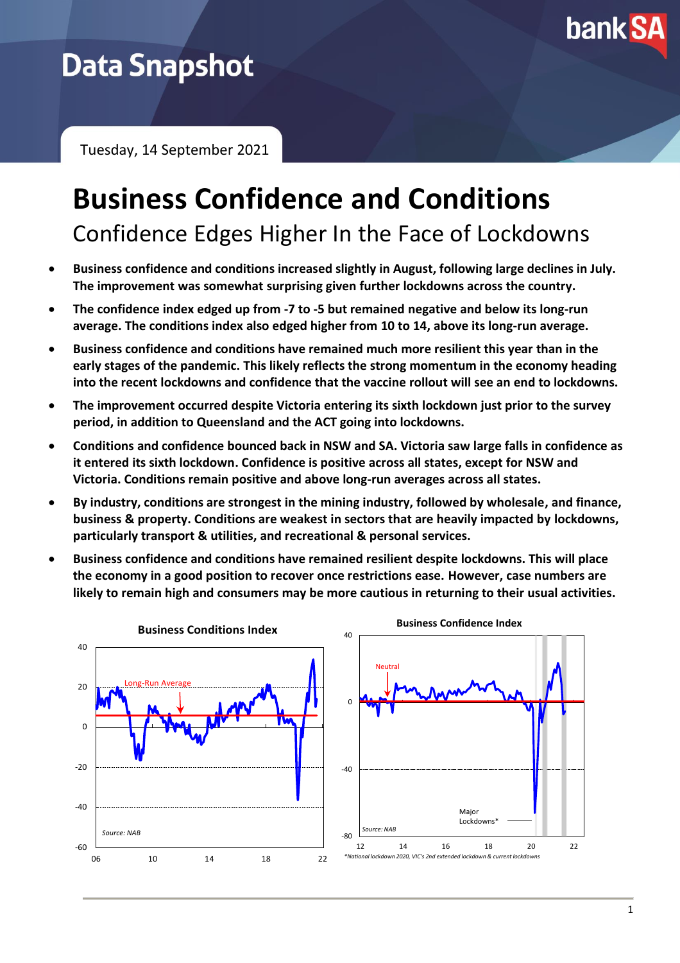

# **Data Snapshot**

Tuesday, 14 September 2021

# **Business Confidence and Conditions** Confidence Edges Higher In the Face of Lockdowns

- **Business confidence and conditions increased slightly in August, following large declines in July. The improvement was somewhat surprising given further lockdowns across the country.**
- **The confidence index edged up from -7 to -5 but remained negative and below its long-run average. The conditions index also edged higher from 10 to 14, above its long-run average.**
- **Business confidence and conditions have remained much more resilient this year than in the early stages of the pandemic. This likely reflects the strong momentum in the economy heading into the recent lockdowns and confidence that the vaccine rollout will see an end to lockdowns.**
- **The improvement occurred despite Victoria entering its sixth lockdown just prior to the survey period, in addition to Queensland and the ACT going into lockdowns.**
- **Conditions and confidence bounced back in NSW and SA. Victoria saw large falls in confidence as it entered its sixth lockdown. Confidence is positive across all states, except for NSW and Victoria. Conditions remain positive and above long-run averages across all states.**
- **By industry, conditions are strongest in the mining industry, followed by wholesale, and finance, business & property. Conditions are weakest in sectors that are heavily impacted by lockdowns, particularly transport & utilities, and recreational & personal services.**
- **Business confidence and conditions have remained resilient despite lockdowns. This will place the economy in a good position to recover once restrictions ease. However, case numbers are likely to remain high and consumers may be more cautious in returning to their usual activities.**

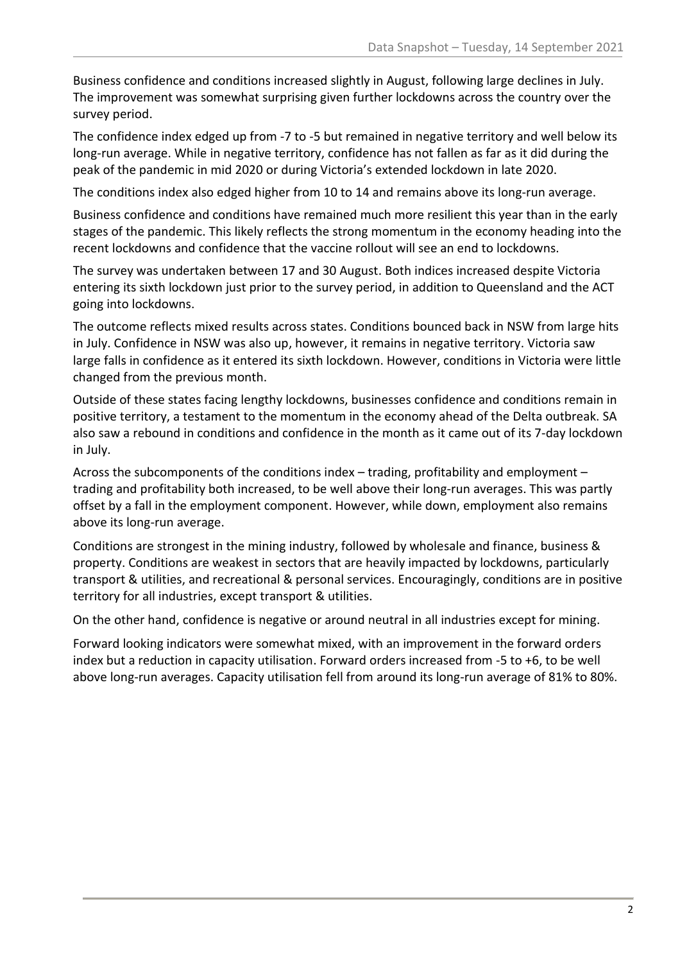Business confidence and conditions increased slightly in August, following large declines in July. The improvement was somewhat surprising given further lockdowns across the country over the survey period.

The confidence index edged up from -7 to -5 but remained in negative territory and well below its long-run average. While in negative territory, confidence has not fallen as far as it did during the peak of the pandemic in mid 2020 or during Victoria's extended lockdown in late 2020.

The conditions index also edged higher from 10 to 14 and remains above its long-run average.

Business confidence and conditions have remained much more resilient this year than in the early stages of the pandemic. This likely reflects the strong momentum in the economy heading into the recent lockdowns and confidence that the vaccine rollout will see an end to lockdowns.

The survey was undertaken between 17 and 30 August. Both indices increased despite Victoria entering its sixth lockdown just prior to the survey period, in addition to Queensland and the ACT going into lockdowns.

The outcome reflects mixed results across states. Conditions bounced back in NSW from large hits in July. Confidence in NSW was also up, however, it remains in negative territory. Victoria saw large falls in confidence as it entered its sixth lockdown. However, conditions in Victoria were little changed from the previous month.

Outside of these states facing lengthy lockdowns, businesses confidence and conditions remain in positive territory, a testament to the momentum in the economy ahead of the Delta outbreak. SA also saw a rebound in conditions and confidence in the month as it came out of its 7-day lockdown in July.

Across the subcomponents of the conditions index – trading, profitability and employment – trading and profitability both increased, to be well above their long-run averages. This was partly offset by a fall in the employment component. However, while down, employment also remains above its long-run average.

Conditions are strongest in the mining industry, followed by wholesale and finance, business & property. Conditions are weakest in sectors that are heavily impacted by lockdowns, particularly transport & utilities, and recreational & personal services. Encouragingly, conditions are in positive territory for all industries, except transport & utilities.

On the other hand, confidence is negative or around neutral in all industries except for mining.

Forward looking indicators were somewhat mixed, with an improvement in the forward orders index but a reduction in capacity utilisation. Forward orders increased from -5 to +6, to be well above long-run averages. Capacity utilisation fell from around its long-run average of 81% to 80%.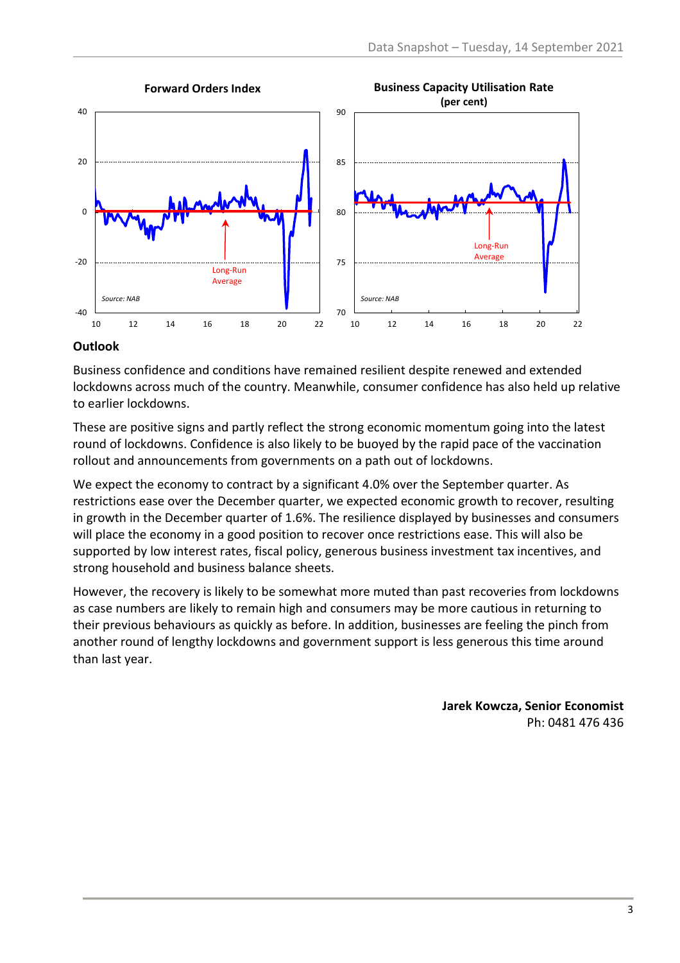

## **Outlook**

Business confidence and conditions have remained resilient despite renewed and extended lockdowns across much of the country. Meanwhile, consumer confidence has also held up relative to earlier lockdowns.

These are positive signs and partly reflect the strong economic momentum going into the latest round of lockdowns. Confidence is also likely to be buoyed by the rapid pace of the vaccination rollout and announcements from governments on a path out of lockdowns.

We expect the economy to contract by a significant 4.0% over the September quarter. As restrictions ease over the December quarter, we expected economic growth to recover, resulting in growth in the December quarter of 1.6%. The resilience displayed by businesses and consumers will place the economy in a good position to recover once restrictions ease. This will also be supported by low interest rates, fiscal policy, generous business investment tax incentives, and strong household and business balance sheets.

However, the recovery is likely to be somewhat more muted than past recoveries from lockdowns as case numbers are likely to remain high and consumers may be more cautious in returning to their previous behaviours as quickly as before. In addition, businesses are feeling the pinch from another round of lengthy lockdowns and government support is less generous this time around than last year.

> **Jarek Kowcza, Senior Economist** Ph: 0481 476 436